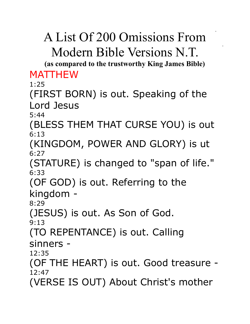# A List Of 200 Omissions From Modern Bible Versions N.T.

**(as compared to the trustworthy King James Bible)** MATTHEW

1:25

(FIRST BORN) is out. Speaking of the Lord Jesus

5:44

(BLESS THEM THAT CURSE YOU) is out 6:13

(KINGDOM, POWER AND GLORY) is ut 6:27

(STATURE) is changed to "span of life." 6:33

(OF GOD) is out. Referring to the kingdom -

8:29

(JESUS) is out. As Son of God.

9:13

(TO REPENTANCE) is out. Calling sinners -

12:35

(OF THE HEART) is out. Good treasure - 12:47

(VERSE IS OUT) About Christ's mother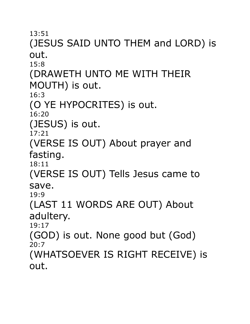# (JESUS SAID UNTO THEM and LORD) is out.

15:8

(DRAWETH UNTO ME WITH THEIR

MOUTH) is out.

16:3

(O YE HYPOCRITES) is out.

16:20

(JESUS) is out.

17:21

(VERSE IS OUT) About prayer and fasting.

18:11

(VERSE IS OUT) Tells Jesus came to save.

19:9

(LAST 11 WORDS ARE OUT) About adultery.

19:17

(GOD) is out. None good but (God) 20:7

(WHATSOEVER IS RIGHT RECEIVE) is out.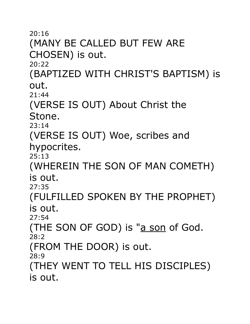(MANY BE CALLED BUT FEW ARE CHOSEN) is out.

20:22

(BAPTIZED WITH CHRIST'S BAPTISM) is out.

21:44

(VERSE IS OUT) About Christ the Stone.

23:14

(VERSE IS OUT) Woe, scribes and hypocrites.

25:13

(WHEREIN THE SON OF MAN COMETH) is out.

27:35

(FULFILLED SPOKEN BY THE PROPHET) is out.

27:54

(THE SON OF GOD) is "a son of God. 28:2

(FROM THE DOOR) is out.

28:9

(THEY WENT TO TELL HIS DISCIPLES) is out.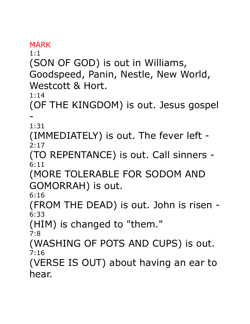MARK

1:1

(SON OF GOD) is out in Williams,

Goodspeed, Panin, Nestle, New World, Westcott & Hort.

1:14

(OF THE KINGDOM) is out. Jesus gospel -

1:31

(IMMEDIATELY) is out. The fever left -  $2:17$ 

(TO REPENTANCE) is out. Call sinners - 6:11

(MORE TOLERABLE FOR SODOM AND GOMORRAH) is out.

6:16

(FROM THE DEAD) is out. John is risen - 6:33

(HIM) is changed to "them."

7:8

(WASHING OF POTS AND CUPS) is out. 7:16

(VERSE IS OUT) about having an ear to hear.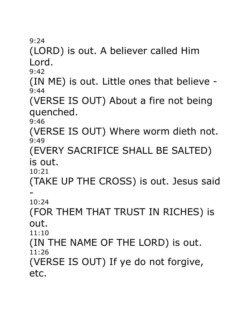(LORD) is out. A believer called Him Lord.

 $9:42$ 

(IN ME) is out. Little ones that believe - 9:44

(VERSE IS OUT) About a fire not being quenched.

9:46

(VERSE IS OUT) Where worm dieth not. 9:49

(EVERY SACRIFICE SHALL BE SALTED) is out.

10:21

(TAKE UP THE CROSS) is out. Jesus said -

10:24

(FOR THEM THAT TRUST IN RICHES) is out.

11:10

(IN THE NAME OF THE LORD) is out. 11:26

(VERSE IS OUT) If ye do not forgive, etc.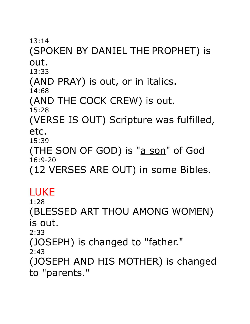### (SPOKEN BY DANIEL THE PROPHET) is out.

13:33

(AND PRAY) is out, or in italics.

14:68

(AND THE COCK CREW) is out.

15:28

(VERSE IS OUT) Scripture was fulfilled, etc.

15:39

(THE SON OF GOD) is "a son" of God 16:9-20

(12 VERSES ARE OUT) in some Bibles.

#### LUKE

1:28

(BLESSED ART THOU AMONG WOMEN) is out.

2:33

(JOSEPH) is changed to "father."

2:43

(JOSEPH AND HIS MOTHER) is changed to "parents."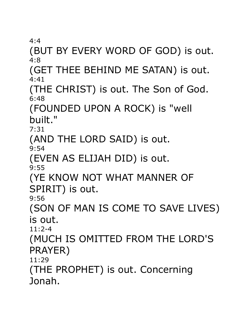(BUT BY EVERY WORD OF GOD) is out. 4:8

(GET THEE BEHIND ME SATAN) is out. 4:41

(THE CHRIST) is out. The Son of God. 6:48

(FOUNDED UPON A ROCK) is "well built."

7:31

(AND THE LORD SAID) is out.

9:54

(EVEN AS ELIJAH DID) is out.

9:55

(YE KNOW NOT WHAT MANNER OF

SPIRIT) is out.

9:56

(SON OF MAN IS COME TO SAVE LIVES) is out.

11:2-4

(MUCH IS OMITTED FROM THE LORD'S PRAYER)

11:29

(THE PROPHET) is out. Concerning Jonah.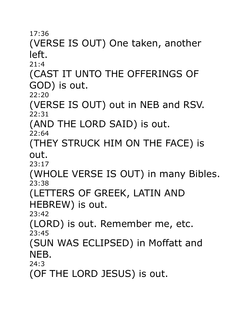### (VERSE IS OUT) One taken, another left.

 $21:4$ 

(CAST IT UNTO THE OFFERINGS OF GOD) is out.

22:20

(VERSE IS OUT) out in NEB and RSV. 22:31

(AND THE LORD SAID) is out.

22:64

(THEY STRUCK HIM ON THE FACE) is out.

23:17

(WHOLE VERSE IS OUT) in many Bibles. 23:38

(LETTERS OF GREEK, LATIN AND

HEBREW) is out.

23:42

(LORD) is out. Remember me, etc. 23:45

(SUN WAS ECLIPSED) in Moffatt and NEB.

24:3

(OF THE LORD JESUS) is out.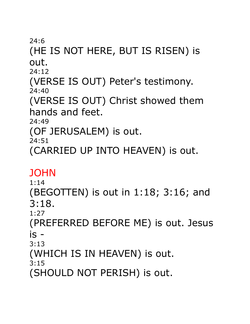### (HE IS NOT HERE, BUT IS RISEN) is out.

 $74:12$ 

(VERSE IS OUT) Peter's testimony. 24:40

(VERSE IS OUT) Christ showed them hands and feet.

24:49

(OF JERUSALEM) is out.

 $74:51$ 

(CARRIED UP INTO HEAVEN) is out.

#### **JOHN**

1:14

(BEGOTTEN) is out in 1:18; 3:16; and 3:18.

1:27

(PREFERRED BEFORE ME) is out. Jesus is -

3:13

(WHICH IS IN HEAVEN) is out.

3:15

(SHOULD NOT PERISH) is out.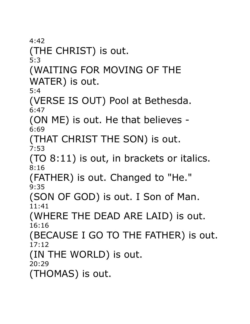$4:42$ (THE CHRIST) is out. 5:3

(WAITING FOR MOVING OF THE WATER) is out.

5:4

(VERSE IS OUT) Pool at Bethesda. 6:47

(ON ME) is out. He that believes - 6:69

(THAT CHRIST THE SON) is out. 7:53

(TO 8:11) is out, in brackets or italics. 8:16

(FATHER) is out. Changed to "He." 9:35

(SON OF GOD) is out. I Son of Man. 11:41

(WHERE THE DEAD ARE LAID) is out. 16:16

(BECAUSE I GO TO THE FATHER) is out. 17:12

(IN THE WORLD) is out.

20:29

(THOMAS) is out.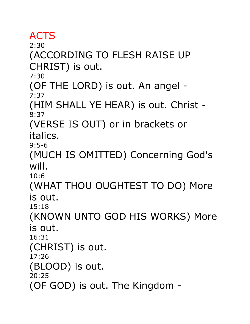### ACTS

2:30

(ACCORDING TO FLESH RAISE UP CHRIST) is out.

7:30

(OF THE LORD) is out. An angel - 7:37

(HIM SHALL YE HEAR) is out. Christ - 8:37

(VERSE IS OUT) or in brackets or italics.

9:5-6

(MUCH IS OMITTED) Concerning God's will.

10:6

(WHAT THOU OUGHTEST TO DO) More is out.

15:18

(KNOWN UNTO GOD HIS WORKS) More is out.

16:31

(CHRIST) is out.

17:26

(BLOOD) is out.

20:25

(OF GOD) is out. The Kingdom -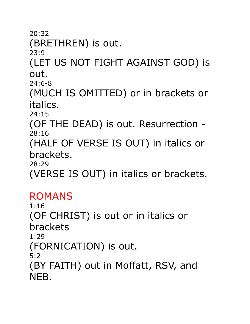20:32 (BRETHREN) is out. 23:9 (LET US NOT FIGHT AGAINST GOD) is out. 24:6-8 (MUCH IS OMITTED) or in brackets or italics. 24:15 (OF THE DEAD) is out. Resurrection - 28:16 (HALF OF VERSE IS OUT) in italics or brackets. 28:29 (VERSE IS OUT) in italics or brackets.

### ROMANS

1:16 (OF CHRIST) is out or in italics or brackets 1:29 (FORNICATION) is out. 5:2 (BY FAITH) out in Moffatt, RSV, and NEB.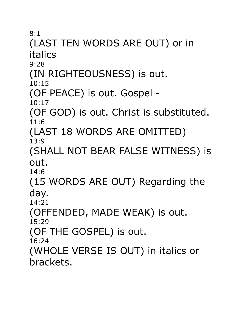# (LAST TEN WORDS ARE OUT) or in italics

9:28

(IN RIGHTEOUSNESS) is out.

10:15

(OF PEACE) is out. Gospel -

10:17

(OF GOD) is out. Christ is substituted. 11:6

(LAST 18 WORDS ARE OMITTED) 13:9

(SHALL NOT BEAR FALSE WITNESS) is out.

14:6

(15 WORDS ARE OUT) Regarding the day.

14:21

(OFFENDED, MADE WEAK) is out.

15:29

(OF THE GOSPEL) is out.

16:24

(WHOLE VERSE IS OUT) in italics or brackets.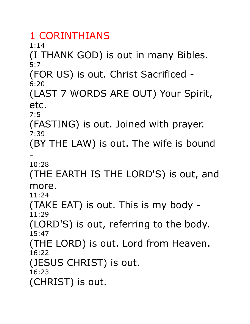# 1 CORINTHIANS

1:14

(I THANK GOD) is out in many Bibles. 5:7

(FOR US) is out. Christ Sacrificed - 6:20

(LAST 7 WORDS ARE OUT) Your Spirit, etc.

7:5

(FASTING) is out. Joined with prayer. 7:39

(BY THE LAW) is out. The wife is bound -

10:28

(THE EARTH IS THE LORD'S) is out, and more.

11:24

(TAKE EAT) is out. This is my body - 11:29

(LORD'S) is out, referring to the body. 15:47

(THE LORD) is out. Lord from Heaven. 16:22

(JESUS CHRIST) is out.

16:23

(CHRIST) is out.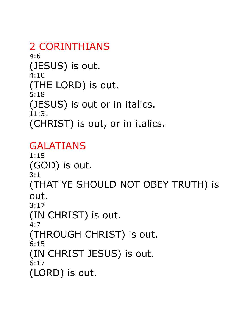2 CORINTHIANS 4:6 (JESUS) is out. 4:10 (THE LORD) is out. 5:18 (JESUS) is out or in italics. 11:31 (CHRIST) is out, or in italics.

#### GALATIANS

1:15 (GOD) is out. 3:1 (THAT YE SHOULD NOT OBEY TRUTH) is out. 3:17 (IN CHRIST) is out. 4:7 (THROUGH CHRIST) is out. 6:15 (IN CHRIST JESUS) is out. 6:17 (LORD) is out.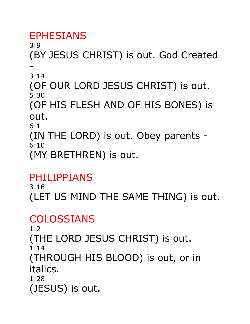# EPHESIANS

3:9 (BY JESUS CHRIST) is out. God Created -

3:14

(OF OUR LORD JESUS CHRIST) is out. 5:30

(OF HIS FLESH AND OF HIS BONES) is out.

6:1

(IN THE LORD) is out. Obey parents - 6:10

(MY BRETHREN) is out.

### PHILIPPIANS

3:16 (LET US MIND THE SAME THING) is out.

# COLOSSIANS

 $1:2$ (THE LORD JESUS CHRIST) is out. 1:14 (THROUGH HIS BLOOD) is out, or in italics. 1:28 (JESUS) is out.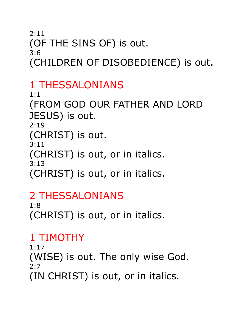#### 2:11 (OF THE SINS OF) is out. 3:6 (CHILDREN OF DISOBEDIENCE) is out.

### 1 THESSALONIANS

1:1 (FROM GOD OUR FATHER AND LORD JESUS) is out. 2:19 (CHRIST) is out. 3:11 (CHRIST) is out, or in italics. 3:13 (CHRIST) is out, or in italics.

### 2 THESSALONIANS

1:8 (CHRIST) is out, or in italics.

# 1 TIMOTHY

1:17 (WISE) is out. The only wise God. 2:7 (IN CHRIST) is out, or in italics.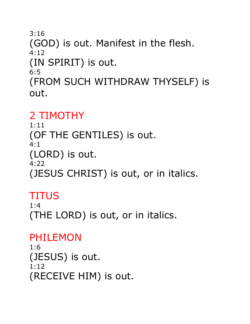3:16 (GOD) is out. Manifest in the flesh. 4:12 (IN SPIRIT) is out. 6:5 (FROM SUCH WITHDRAW THYSELF) is out.

# 2 TIMOTHY

1:11 (OF THE GENTILES) is out. 4:1 (LORD) is out. 4:22 (JESUS CHRIST) is out, or in italics.

# **TITUS**

 $1:4$ (THE LORD) is out, or in italics.

# PHILEMON

1:6 (JESUS) is out. 1:12 (RECEIVE HIM) is out.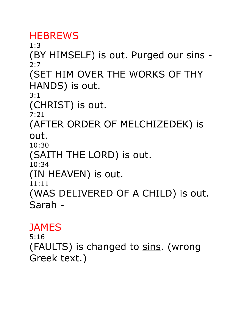### **HEBREWS**

1:3 (BY HIMSELF) is out. Purged our sins -  $2:7$ (SET HIM OVER THE WORKS OF THY HANDS) is out. 3:1 (CHRIST) is out.  $7:21$ (AFTER ORDER OF MELCHIZEDEK) is out. 10:30 (SAITH THE LORD) is out. 10:34 (IN HEAVEN) is out. 11:11 (WAS DELIVERED OF A CHILD) is out. Sarah -

#### **JAMES**

5:16 (FAULTS) is changed to sins. (wrong Greek text.)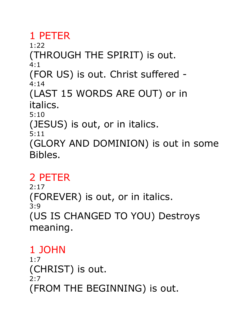### 1 PETER

1:22 (THROUGH THE SPIRIT) is out. 4:1

(FOR US) is out. Christ suffered - 4:14

(LAST 15 WORDS ARE OUT) or in italics.

5:10

(JESUS) is out, or in italics.

5:11

(GLORY AND DOMINION) is out in some Bibles.

### 2 PETER

 $2:17$ (FOREVER) is out, or in italics. 3:9 (US IS CHANGED TO YOU) Destroys meaning.

# 1 JOHN

1:7 (CHRIST) is out. 2:7 (FROM THE BEGINNING) is out.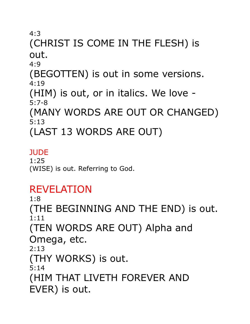#### (CHRIST IS COME IN THE FLESH) is out. 4:9

(BEGOTTEN) is out in some versions. 4:19

(HIM) is out, or in italics. We love - 5:7-8

(MANY WORDS ARE OUT OR CHANGED) 5:13

(LAST 13 WORDS ARE OUT)

#### **JUDE**

1:25 (WISE) is out. Referring to God.

# REVELATION

1:8 (THE BEGINNING AND THE END) is out. 1:11 (TEN WORDS ARE OUT) Alpha and Omega, etc. 2:13 (THY WORKS) is out. 5:14

(HIM THAT LIVETH FOREVER AND EVER) is out.